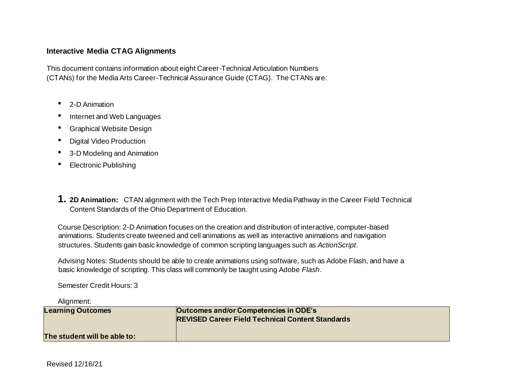## **Interactive Media CTAG Alignments**

This document contains information about eight Career-Technical Articulation Numbers (CTANs) for the Media Arts Career-Technical Assurance Guide (CTAG). The CTANs are:

- 2-D Animation
- Internet and Web Languages
- Graphical Website Design
- Digital Video Production
- 3-D Modeling and Animation
- Electronic Publishing
- **1. 2D Animation:** CTAN alignment with the Tech Prep Interactive Media Pathway in the Career Field Technical Content Standards of the Ohio Department of Education.

Course Description: 2-D Animation focuses on the creation and distribution of interactive, computer-based animations. Students create tweened and cell animations as well as interactive animations and navigation structures. Students gain basic knowledge of common scripting languages such as *ActionScript*.

Advising Notes: Students should be able to create animations using software, such as Adobe Flash, and have a basic knowledge of scripting. This class will commonly be taught using Adobe *Flash*.

Semester Credit Hours: 3

Alignment:

| <b>Learning Outcomes</b>     | Outcomes and/or Competencies in ODE's<br><b>REVISED Career Field Technical Content Standards</b> |
|------------------------------|--------------------------------------------------------------------------------------------------|
| The student will be able to: |                                                                                                  |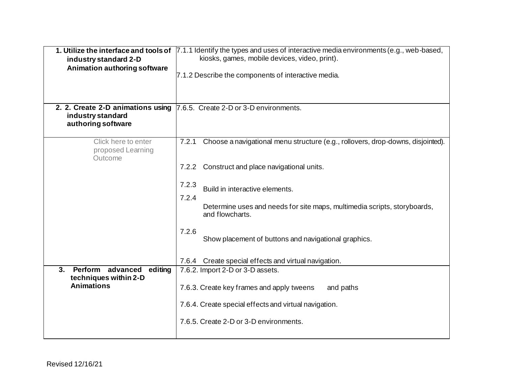| industry standard 2-D<br><b>Animation authoring software</b><br>2. 2. Create 2-D animations using<br>industry standard<br>authoring software | 1. Utilize the interface and tools of 7.1.1 Identify the types and uses of interactive media environments (e.g., web-based,<br>kiosks, games, mobile devices, video, print).<br>7.1.2 Describe the components of interactive media.<br>7.6.5. Create 2-D or 3-D environments.                                                                                                                                                                                                                                                                                                                                             |
|----------------------------------------------------------------------------------------------------------------------------------------------|---------------------------------------------------------------------------------------------------------------------------------------------------------------------------------------------------------------------------------------------------------------------------------------------------------------------------------------------------------------------------------------------------------------------------------------------------------------------------------------------------------------------------------------------------------------------------------------------------------------------------|
| Click here to enter<br>proposed Learning<br>Outcome<br>Perform advanced<br>editing<br>3.<br>techniques within 2-D<br><b>Animations</b>       | Choose a navigational menu structure (e.g., rollovers, drop-downs, disjointed).<br>7.2.1<br>7.2.2 Construct and place navigational units.<br>7.2.3<br>Build in interactive elements.<br>7.2.4<br>Determine uses and needs for site maps, multimedia scripts, storyboards,<br>and flowcharts.<br>7.2.6<br>Show placement of buttons and navigational graphics.<br>Create special effects and virtual navigation.<br>7.6.4<br>7.6.2. Import 2-D or 3-D assets.<br>7.6.3. Create key frames and apply tweens<br>and paths<br>7.6.4. Create special effects and virtual navigation.<br>7.6.5. Create 2-D or 3-D environments. |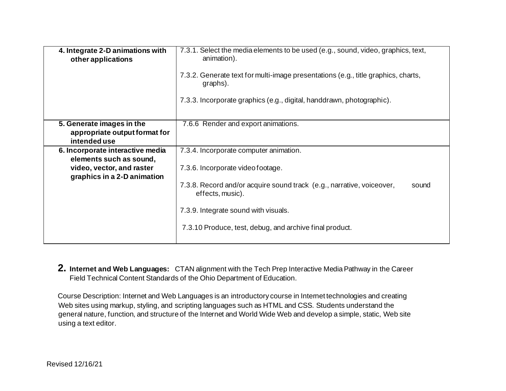| 4. Integrate 2-D animations with<br>other applications                     | 7.3.1. Select the media elements to be used (e.g., sound, video, graphics, text,<br>animation).<br>7.3.2. Generate text for multi-image presentations (e.g., title graphics, charts,<br>graphs).<br>7.3.3. Incorporate graphics (e.g., digital, handdrawn, photographic). |
|----------------------------------------------------------------------------|---------------------------------------------------------------------------------------------------------------------------------------------------------------------------------------------------------------------------------------------------------------------------|
| 5. Generate images in the<br>appropriate output format for<br>intended use | 7.6.6 Render and export animations.                                                                                                                                                                                                                                       |
| 6. Incorporate interactive media<br>elements such as sound,                | 7.3.4. Incorporate computer animation.                                                                                                                                                                                                                                    |
| video, vector, and raster<br>graphics in a 2-D animation                   | 7.3.6. Incorporate video footage.<br>7.3.8. Record and/or acquire sound track (e.g., narrative, voiceover,<br>sound<br>effects, music).<br>7.3.9. Integrate sound with visuals.                                                                                           |
|                                                                            | 7.3.10 Produce, test, debug, and archive final product.                                                                                                                                                                                                                   |

**2. Internet and Web Languages:** CTAN alignment with the Tech Prep Interactive Media Pathway in the Career Field Technical Content Standards of the Ohio Department of Education.

Course Description: Internet and Web Languages is an introductory course in Internet technologies and creating Web sites using markup, styling, and scripting languages such as HTML and CSS. Students understand the general nature, function, and structure of the Internet and World Wide Web and develop a simple, static, Web site using a text editor.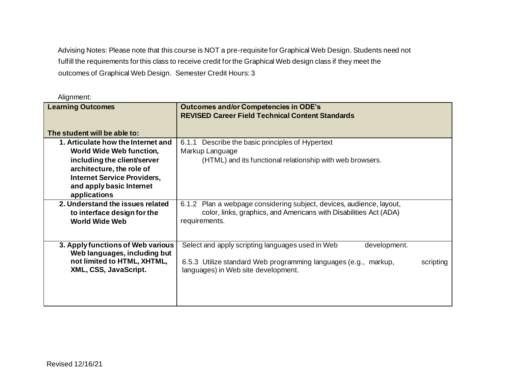Advising Notes: Please note that this course is NOT a pre-requisite for Graphical Web Design. Students need not fulfill the requirements for this class to receive credit for the Graphical Web design class if they meet the outcomes of Graphical Web Design. Semester Credit Hours: 3

| <b>Learning Outcomes</b>                                                                                                                                                | <b>Outcomes and/or Competencies in ODE's</b><br><b>REVISED Career Field Technical Content Standards</b>                                                                                 |
|-------------------------------------------------------------------------------------------------------------------------------------------------------------------------|-----------------------------------------------------------------------------------------------------------------------------------------------------------------------------------------|
| The student will be able to:                                                                                                                                            |                                                                                                                                                                                         |
| 1. Articulate how the Internet and<br><b>World Wide Web function,</b><br>including the client/server<br>architecture, the role of<br><b>Internet Service Providers,</b> | Describe the basic principles of Hypertext<br>6.1.1<br>Markup Language<br>(HTML) and its functional relationship with web browsers.                                                     |
| and apply basic Internet<br>applications                                                                                                                                |                                                                                                                                                                                         |
| 2. Understand the issues related<br>to interface design for the<br><b>World Wide Web</b>                                                                                | Plan a webpage considering subject, devices, audience, layout,<br>6.1.2<br>color, links, graphics, and Americans with Disabilities Act (ADA)<br>requirements.                           |
| 3. Apply functions of Web various<br>Web languages, including but<br>not limited to HTML, XHTML,<br>XML, CSS, JavaScript.                                               | Select and apply scripting languages used in Web<br>development.<br>6.5.3 Utilize standard Web programming languages (e.g., markup,<br>scripting<br>languages) in Web site development. |

Alignment: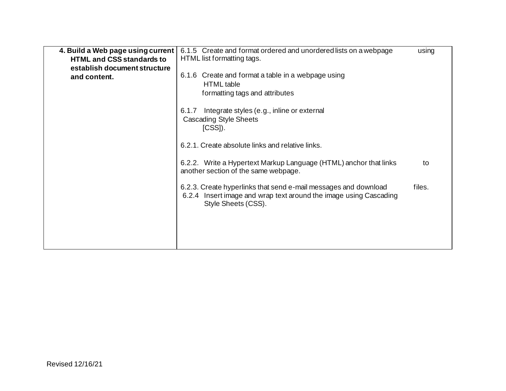| 4. Build a Web page using current<br><b>HTML and CSS standards to</b><br>establish document structure<br>and content. | 6.1.5 Create and format ordered and unordered lists on a webpage<br>HTML list formatting tags.<br>6.1.6 Create and format a table in a webpage using<br><b>HTML</b> table<br>formatting tags and attributes<br>Integrate styles (e.g., inline or external<br>6.1.7<br><b>Cascading Style Sheets</b><br>$[CSS]$ ).<br>6.2.1. Create absolute links and relative links. | using  |
|-----------------------------------------------------------------------------------------------------------------------|-----------------------------------------------------------------------------------------------------------------------------------------------------------------------------------------------------------------------------------------------------------------------------------------------------------------------------------------------------------------------|--------|
|                                                                                                                       | 6.2.2. Write a Hypertext Markup Language (HTML) anchor that links<br>another section of the same webpage.                                                                                                                                                                                                                                                             | to     |
|                                                                                                                       | 6.2.3. Create hyperlinks that send e-mail messages and download<br>6.2.4 Insert image and wrap text around the image using Cascading<br>Style Sheets (CSS).                                                                                                                                                                                                           | files. |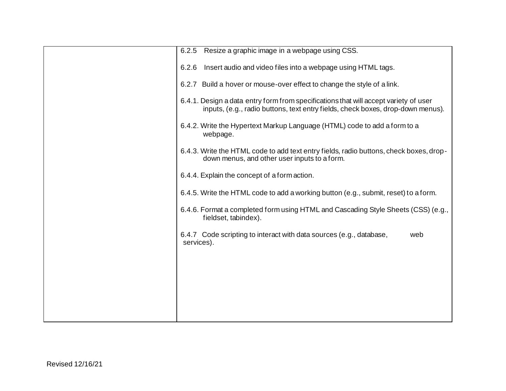| Resize a graphic image in a webpage using CSS.<br>6.2.5                                                                                                                 |
|-------------------------------------------------------------------------------------------------------------------------------------------------------------------------|
| 6.2.6<br>Insert audio and video files into a webpage using HTML tags.                                                                                                   |
| 6.2.7 Build a hover or mouse-over effect to change the style of a link.                                                                                                 |
| 6.4.1. Design a data entry form from specifications that will accept variety of user<br>inputs, (e.g., radio buttons, text entry fields, check boxes, drop-down menus). |
| 6.4.2. Write the Hypertext Markup Language (HTML) code to add a form to a<br>webpage.                                                                                   |
| 6.4.3. Write the HTML code to add text entry fields, radio buttons, check boxes, drop-<br>down menus, and other user inputs to a form.                                  |
| 6.4.4. Explain the concept of a form action.                                                                                                                            |
| 6.4.5. Write the HTML code to add a working button (e.g., submit, reset) to a form.                                                                                     |
| 6.4.6. Format a completed form using HTML and Cascading Style Sheets (CSS) (e.g.,<br>fieldset, tabindex).                                                               |
| 6.4.7 Code scripting to interact with data sources (e.g., database,<br>web<br>services).                                                                                |
|                                                                                                                                                                         |
|                                                                                                                                                                         |
|                                                                                                                                                                         |
|                                                                                                                                                                         |
|                                                                                                                                                                         |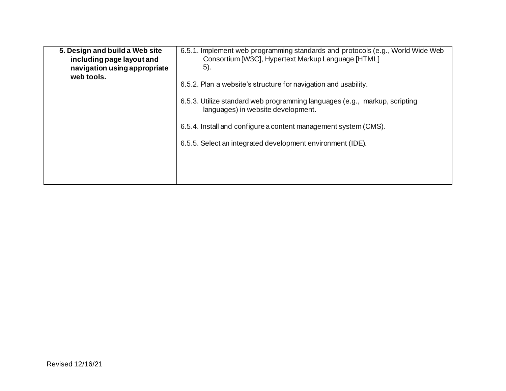| 5. Design and build a Web site<br>including page layout and<br>navigation using appropriate<br>web tools. | 6.5.1. Implement web programming standards and protocols (e.g., World Wide Web<br>Consortium [W3C], Hypertext Markup Language [HTML]<br>5). |
|-----------------------------------------------------------------------------------------------------------|---------------------------------------------------------------------------------------------------------------------------------------------|
|                                                                                                           | 6.5.2. Plan a website's structure for navigation and usability.                                                                             |
|                                                                                                           | 6.5.3. Utilize standard web programming languages (e.g., markup, scripting<br>languages) in website development.                            |
|                                                                                                           | 6.5.4. Install and configure a content management system (CMS).                                                                             |
|                                                                                                           | 6.5.5. Select an integrated development environment (IDE).                                                                                  |
|                                                                                                           |                                                                                                                                             |
|                                                                                                           |                                                                                                                                             |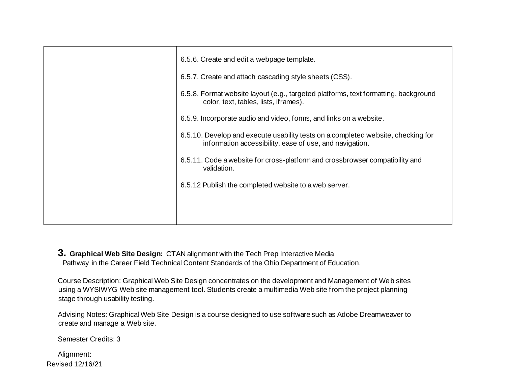| 6.5.6. Create and edit a webpage template.                                                                                                  |
|---------------------------------------------------------------------------------------------------------------------------------------------|
| 6.5.7. Create and attach cascading style sheets (CSS).                                                                                      |
| 6.5.8. Format website layout (e.g., targeted platforms, text formatting, background<br>color, text, tables, lists, if rames).               |
| 6.5.9. Incorporate audio and video, forms, and links on a website.                                                                          |
| 6.5.10. Develop and execute usability tests on a completed website, checking for<br>information accessibility, ease of use, and navigation. |
| 6.5.11. Code a website for cross-platform and crossbrowser compatibility and<br>validation.                                                 |
| 6.5.12 Publish the completed website to a web server.                                                                                       |
|                                                                                                                                             |
|                                                                                                                                             |

**3. Graphical Web Site Design:** CTAN alignment with the Tech Prep Interactive Media Pathway in the Career Field Technical Content Standards of the Ohio Department of Education.

Course Description: Graphical Web Site Design concentrates on the development and Management of Web sites using a WYSIWYG Web site management tool. Students create a multimedia Web site from the project planning stage through usability testing.

Advising Notes: Graphical Web Site Design is a course designed to use software such as Adobe Dreamweaver to create and manage a Web site.

Semester Credits: 3

Revised 12/16/21 Alignment: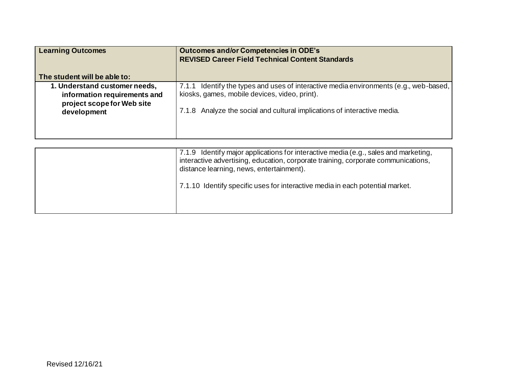| <b>Learning Outcomes</b>                                                                    | <b>Outcomes and/or Competencies in ODE's</b><br><b>REVISED Career Field Technical Content Standards</b>                                  |
|---------------------------------------------------------------------------------------------|------------------------------------------------------------------------------------------------------------------------------------------|
| The student will be able to:                                                                |                                                                                                                                          |
| 1. Understand customer needs,<br>information requirements and<br>project scope for Web site | 7.1.1 Identify the types and uses of interactive media environments (e.g., web-based,  <br>kiosks, games, mobile devices, video, print). |
| development                                                                                 | 7.1.8 Analyze the social and cultural implications of interactive media.                                                                 |

| 7.1.9 Identify major applications for interactive media (e.g., sales and marketing,<br>interactive advertising, education, corporate training, corporate communications,<br>distance learning, news, entertainment). |
|----------------------------------------------------------------------------------------------------------------------------------------------------------------------------------------------------------------------|
| 7.1.10 Identify specific uses for interactive media in each potential market.                                                                                                                                        |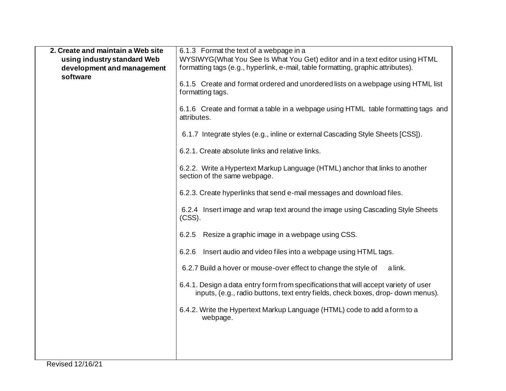| 2. Create and maintain a Web site | 6.1.3 Format the text of a webpage in a                                                                                                                                 |
|-----------------------------------|-------------------------------------------------------------------------------------------------------------------------------------------------------------------------|
| using industry standard Web       | WYSIWYG(What You See Is What You Get) editor and in a text editor using HTML                                                                                            |
| development and management        | formatting tags (e.g., hyperlink, e-mail, table formatting, graphic attributes).                                                                                        |
| software                          |                                                                                                                                                                         |
|                                   | 6.1.5 Create and format ordered and unordered lists on a webpage using HTML list<br>formatting tags.                                                                    |
|                                   | 6.1.6 Create and format a table in a webpage using HTML table formatting tags and<br>attributes.                                                                        |
|                                   | 6.1.7 Integrate styles (e.g., inline or external Cascading Style Sheets [CSS]).                                                                                         |
|                                   | 6.2.1. Create absolute links and relative links.                                                                                                                        |
|                                   | 6.2.2. Write a Hypertext Markup Language (HTML) anchor that links to another<br>section of the same webpage.                                                            |
|                                   | 6.2.3. Create hyperlinks that send e-mail messages and download files.                                                                                                  |
|                                   | 6.2.4 Insert image and wrap text around the image using Cascading Style Sheets<br>$(CSS)$ .                                                                             |
|                                   | Resize a graphic image in a webpage using CSS.<br>6.2.5                                                                                                                 |
|                                   | Insert audio and video files into a webpage using HTML tags.<br>6.2.6                                                                                                   |
|                                   | 6.2.7 Build a hover or mouse-over effect to change the style of<br>a link.                                                                                              |
|                                   | 6.4.1. Design a data entry form from specifications that will accept variety of user<br>inputs, (e.g., radio buttons, text entry fields, check boxes, drop-down menus). |
|                                   | 6.4.2. Write the Hypertext Markup Language (HTML) code to add a form to a<br>webpage.                                                                                   |
|                                   |                                                                                                                                                                         |
|                                   |                                                                                                                                                                         |
|                                   |                                                                                                                                                                         |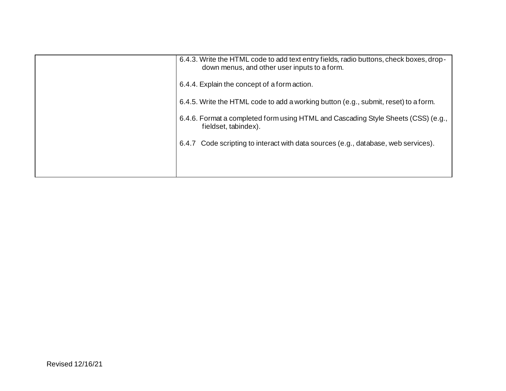| 6.4.3. Write the HTML code to add text entry fields, radio buttons, check boxes, drop-<br>down menus, and other user inputs to a form. |
|----------------------------------------------------------------------------------------------------------------------------------------|
| 6.4.4. Explain the concept of a form action.                                                                                           |
| 6.4.5. Write the HTML code to add a working button (e.g., submit, reset) to a form.                                                    |
| 6.4.6. Format a completed form using HTML and Cascading Style Sheets (CSS) (e.g.,<br>fieldset, tabindex).                              |
| Code scripting to interact with data sources (e.g., database, web services).<br>6.4.7                                                  |
|                                                                                                                                        |
|                                                                                                                                        |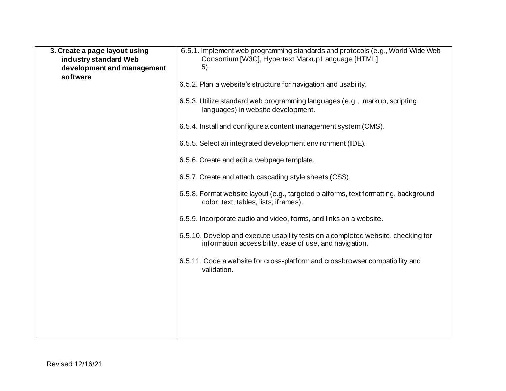| 3. Create a page layout using          | 6.5.1. Implement web programming standards and protocols (e.g., World Wide Web                                                              |
|----------------------------------------|---------------------------------------------------------------------------------------------------------------------------------------------|
| industry standard Web                  | Consortium [W3C], Hypertext Markup Language [HTML]                                                                                          |
| development and management<br>software | 5).                                                                                                                                         |
|                                        | 6.5.2. Plan a website's structure for navigation and usability.                                                                             |
|                                        | 6.5.3. Utilize standard web programming languages (e.g., markup, scripting<br>languages) in website development.                            |
|                                        | 6.5.4. Install and configure a content management system (CMS).                                                                             |
|                                        | 6.5.5. Select an integrated development environment (IDE).                                                                                  |
|                                        | 6.5.6. Create and edit a webpage template.                                                                                                  |
|                                        | 6.5.7. Create and attach cascading style sheets (CSS).                                                                                      |
|                                        | 6.5.8. Format website layout (e.g., targeted platforms, text formatting, background<br>color, text, tables, lists, if rames).               |
|                                        | 6.5.9. Incorporate audio and video, forms, and links on a website.                                                                          |
|                                        | 6.5.10. Develop and execute usability tests on a completed website, checking for<br>information accessibility, ease of use, and navigation. |
|                                        | 6.5.11. Code a website for cross-platform and crossbrowser compatibility and<br>validation.                                                 |
|                                        |                                                                                                                                             |
|                                        |                                                                                                                                             |
|                                        |                                                                                                                                             |
|                                        |                                                                                                                                             |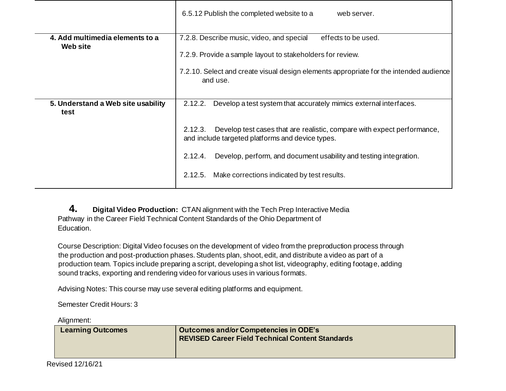|                                                    | 6.5.12 Publish the completed website to a<br>web server.                                                                               |
|----------------------------------------------------|----------------------------------------------------------------------------------------------------------------------------------------|
| 4. Add multimedia elements to a<br><b>Web site</b> | 7.2.8. Describe music, video, and special<br>effects to be used.                                                                       |
|                                                    | 7.2.9. Provide a sample layout to stakeholders for review.                                                                             |
|                                                    | 7.2.10. Select and create visual design elements appropriate for the intended audience<br>and use.                                     |
| 5. Understand a Web site usability<br>test         | 2.12.2.<br>Develop a test system that accurately mimics external interfaces.                                                           |
|                                                    | 2.12.3.<br>Develop test cases that are realistic, compare with expect performance,<br>and include targeted platforms and device types. |
|                                                    | Develop, perform, and document usability and testing integration.<br>2.12.4.                                                           |
|                                                    | Make corrections indicated by test results.<br>2.12.5.                                                                                 |

**4. Digital Video Production:** CTAN alignment with the Tech Prep Interactive Media Pathway in the Career Field Technical Content Standards of the Ohio Department of Education.

Course Description: Digital Video focuses on the development of video from the preproduction process through the production and post-production phases. Students plan, shoot, edit, and distribute a video as part of a production team. Topics include preparing a script, developing a shot list, videography, editing footage, adding sound tracks, exporting and rendering video for various uses in various formats.

Advising Notes: This course may use several editing platforms and equipment.

Semester Credit Hours: 3

Alignment:

|                          | Outcomes and/or Competencies in ODE's                   |
|--------------------------|---------------------------------------------------------|
| <b>Learning Outcomes</b> | <b>REVISED Career Field Technical Content Standards</b> |
|                          |                                                         |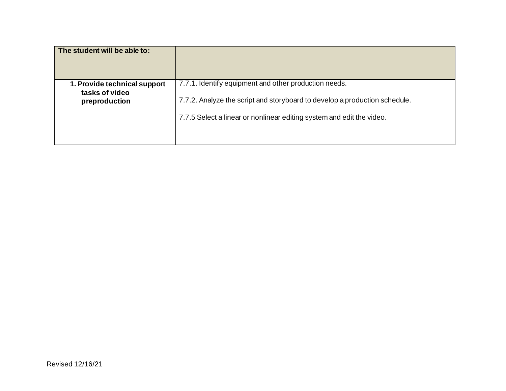| The student will be able to: |                                                                            |
|------------------------------|----------------------------------------------------------------------------|
| 1. Provide technical support | 7.7.1. Identify equipment and other production needs.                      |
| tasks of video               | 7.7.2. Analyze the script and storyboard to develop a production schedule. |
| preproduction                | 7.7.5 Select a linear or nonlinear editing system and edit the video.      |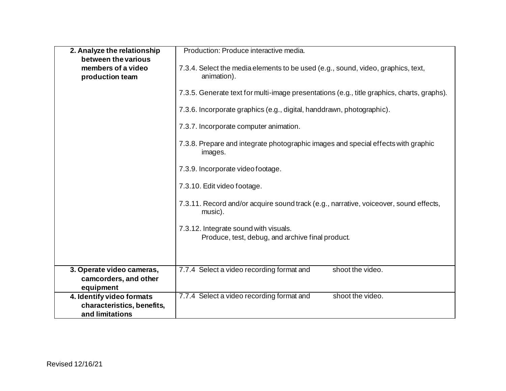| 2. Analyze the relationship           | Production: Produce interactive media.                                                           |
|---------------------------------------|--------------------------------------------------------------------------------------------------|
| between the various                   |                                                                                                  |
| members of a video<br>production team | 7.3.4. Select the media elements to be used (e.g., sound, video, graphics, text,<br>animation).  |
|                                       | 7.3.5. Generate text for multi-image presentations (e.g., title graphics, charts, graphs).       |
|                                       | 7.3.6. Incorporate graphics (e.g., digital, handdrawn, photographic).                            |
|                                       | 7.3.7. Incorporate computer animation.                                                           |
|                                       | 7.3.8. Prepare and integrate photographic images and special effects with graphic<br>images.     |
|                                       | 7.3.9. Incorporate video footage.                                                                |
|                                       | 7.3.10. Edit video footage.                                                                      |
|                                       | 7.3.11. Record and/or acquire sound track (e.g., narrative, voiceover, sound effects,<br>music). |
|                                       | 7.3.12. Integrate sound with visuals.<br>Produce, test, debug, and archive final product.        |
|                                       |                                                                                                  |
| 3. Operate video cameras,             | shoot the video.<br>7.7.4 Select a video recording format and                                    |
| camcorders, and other                 |                                                                                                  |
| equipment                             |                                                                                                  |
| 4. Identify video formats             | shoot the video.<br>7.7.4 Select a video recording format and                                    |
| characteristics, benefits,            |                                                                                                  |
| and limitations                       |                                                                                                  |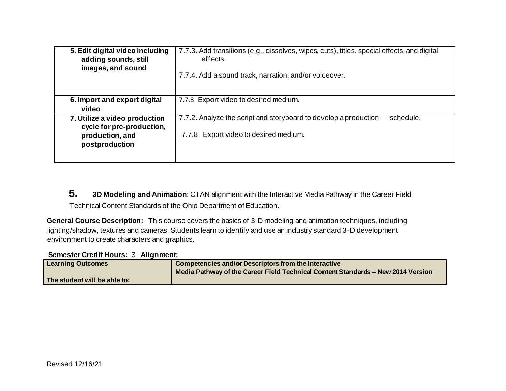| 5. Edit digital video including<br>adding sounds, still<br>images, and sound                    | 7.7.3. Add transitions (e.g., dissolves, wipes, cuts), titles, special effects, and digital<br>effects.<br>7.7.4. Add a sound track, narration, and/or voiceover. |
|-------------------------------------------------------------------------------------------------|-------------------------------------------------------------------------------------------------------------------------------------------------------------------|
| 6. Import and export digital<br>video                                                           | 7.7.8 Export video to desired medium.                                                                                                                             |
| 7. Utilize a video production<br>cycle for pre-production,<br>production, and<br>postproduction | 7.7.2. Analyze the script and storyboard to develop a production<br>schedule.<br>7.7.8 Export video to desired medium.                                            |

**5. 3D Modeling and Animation**: CTAN alignment with the Interactive Media Pathway in the Career Field Technical Content Standards of the Ohio Department of Education.

**General Course Description:**This course covers the basics of 3-D modeling and animation techniques, including lighting/shadow, textures and cameras. Students learn to identify and use an industry standard 3-D development environment to create characters and graphics.

**Semester Credit Hours:** 3 **Alignment:** 

| <b>Learning Outcomes</b>     | Competencies and/or Descriptors from the Interactive<br>Media Pathway of the Career Field Technical Content Standards - New 2014 Version |
|------------------------------|------------------------------------------------------------------------------------------------------------------------------------------|
| The student will be able to: |                                                                                                                                          |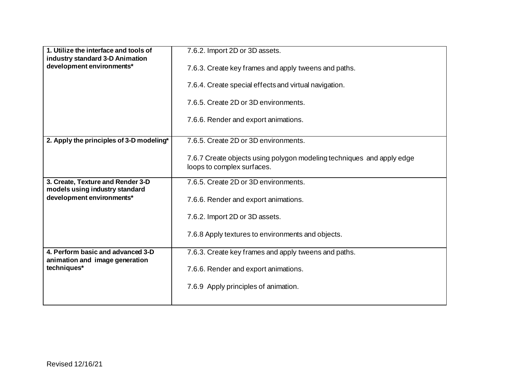| 1. Utilize the interface and tools of<br>industry standard 3-D Animation | 7.6.2. Import 2D or 3D assets.                                                                      |
|--------------------------------------------------------------------------|-----------------------------------------------------------------------------------------------------|
| development environments*                                                | 7.6.3. Create key frames and apply tweens and paths.                                                |
|                                                                          | 7.6.4. Create special effects and virtual navigation.                                               |
|                                                                          | 7.6.5. Create 2D or 3D environments.                                                                |
|                                                                          | 7.6.6. Render and export animations.                                                                |
| 2. Apply the principles of 3-D modeling*                                 | 7.6.5. Create 2D or 3D environments.                                                                |
|                                                                          | 7.6.7 Create objects using polygon modeling techniques and apply edge<br>loops to complex surfaces. |
| 3. Create, Texture and Render 3-D                                        | 7.6.5. Create 2D or 3D environments.                                                                |
| models using industry standard<br>development environments*              | 7.6.6. Render and export animations.                                                                |
|                                                                          | 7.6.2. Import 2D or 3D assets.                                                                      |
|                                                                          | 7.6.8 Apply textures to environments and objects.                                                   |
| 4. Perform basic and advanced 3-D                                        | 7.6.3. Create key frames and apply tweens and paths.                                                |
| animation and image generation<br>techniques*                            | 7.6.6. Render and export animations.                                                                |
|                                                                          | 7.6.9 Apply principles of animation.                                                                |
|                                                                          |                                                                                                     |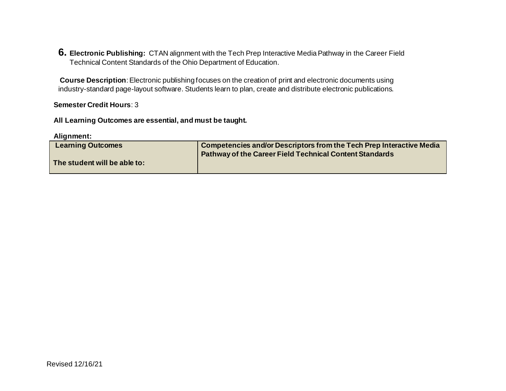**6. Electronic Publishing:** CTAN alignment with the Tech Prep Interactive Media Pathway in the Career Field Technical Content Standards of the Ohio Department of Education.

**Course Description**: Electronic publishing focuses on the creation of print and electronic documents using industry-standard page-layout software. Students learn to plan, create and distribute electronic publications.

## **Semester Credit Hours**: 3

 **All Learning Outcomes are essential, and must be taught.** 

 **Alignment:** 

| <b>Learning Outcomes</b>     | <b>Competencies and/or Descriptors from the Tech Prep Interactive Media</b> |
|------------------------------|-----------------------------------------------------------------------------|
|                              | <b>Pathway of the Career Field Technical Content Standards</b>              |
| The student will be able to: |                                                                             |
|                              |                                                                             |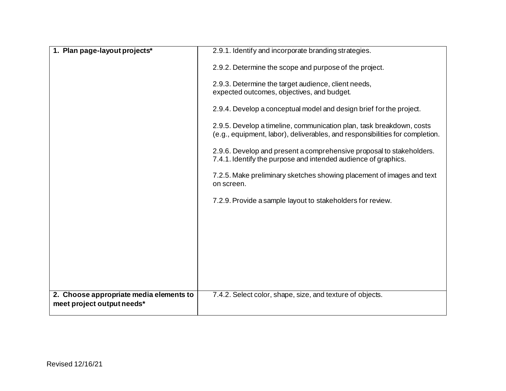| 1. Plan page-layout projects*                                         | 2.9.1. Identify and incorporate branding strategies.                                                                                                 |
|-----------------------------------------------------------------------|------------------------------------------------------------------------------------------------------------------------------------------------------|
|                                                                       | 2.9.2. Determine the scope and purpose of the project.                                                                                               |
|                                                                       | 2.9.3. Determine the target audience, client needs,<br>expected outcomes, objectives, and budget.                                                    |
|                                                                       | 2.9.4. Develop a conceptual model and design brief for the project.                                                                                  |
|                                                                       | 2.9.5. Develop a timeline, communication plan, task breakdown, costs<br>(e.g., equipment, labor), deliverables, and responsibilities for completion. |
|                                                                       | 2.9.6. Develop and present a comprehensive proposal to stakeholders.<br>7.4.1. Identify the purpose and intended audience of graphics.               |
|                                                                       | 7.2.5. Make preliminary sketches showing placement of images and text<br>on screen.                                                                  |
|                                                                       | 7.2.9. Provide a sample layout to stakeholders for review.                                                                                           |
|                                                                       |                                                                                                                                                      |
|                                                                       |                                                                                                                                                      |
|                                                                       |                                                                                                                                                      |
|                                                                       |                                                                                                                                                      |
|                                                                       |                                                                                                                                                      |
| 2. Choose appropriate media elements to<br>meet project output needs* | 7.4.2. Select color, shape, size, and texture of objects.                                                                                            |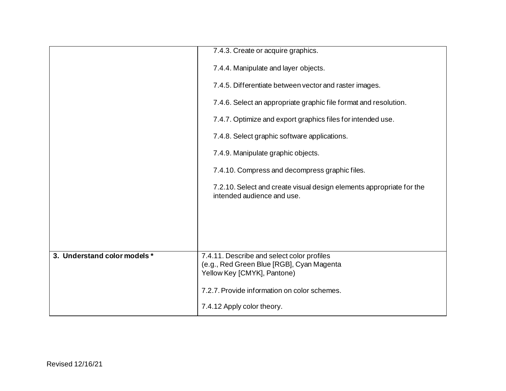|                              | 7.4.3. Create or acquire graphics.                                                                                     |
|------------------------------|------------------------------------------------------------------------------------------------------------------------|
|                              | 7.4.4. Manipulate and layer objects.                                                                                   |
|                              | 7.4.5. Differentiate between vector and raster images.                                                                 |
|                              | 7.4.6. Select an appropriate graphic file format and resolution.                                                       |
|                              | 7.4.7. Optimize and export graphics files for intended use.                                                            |
|                              | 7.4.8. Select graphic software applications.                                                                           |
|                              | 7.4.9. Manipulate graphic objects.                                                                                     |
|                              | 7.4.10. Compress and decompress graphic files.                                                                         |
|                              | 7.2.10. Select and create visual design elements appropriate for the<br>intended audience and use.                     |
|                              |                                                                                                                        |
|                              |                                                                                                                        |
|                              |                                                                                                                        |
| 3. Understand color models * | 7.4.11. Describe and select color profiles<br>(e.g., Red Green Blue [RGB], Cyan Magenta<br>Yellow Key [CMYK], Pantone) |
|                              | 7.2.7. Provide information on color schemes.                                                                           |
|                              | 7.4.12 Apply color theory.                                                                                             |